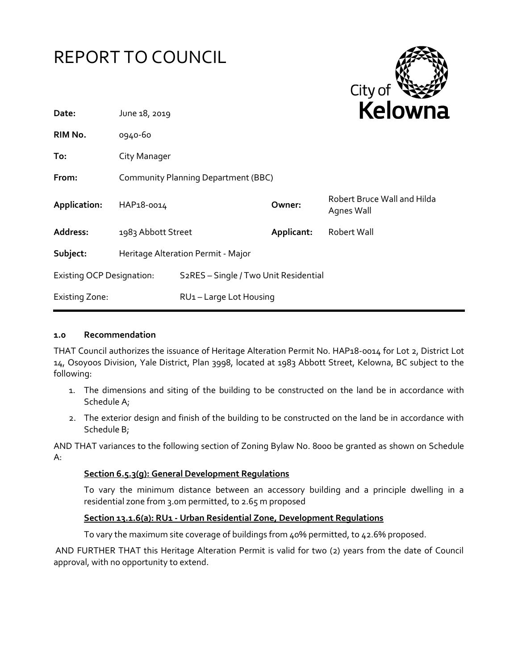



| Date:                            | June 18, 2019                              |                                                    | <b>NEIUWH</b> |                                           |
|----------------------------------|--------------------------------------------|----------------------------------------------------|---------------|-------------------------------------------|
| RIM No.                          | 0940-60                                    |                                                    |               |                                           |
| To:                              | City Manager                               |                                                    |               |                                           |
| From:                            | <b>Community Planning Department (BBC)</b> |                                                    |               |                                           |
| Application:                     | HAP18-0014                                 |                                                    | Owner:        | Robert Bruce Wall and Hilda<br>Agnes Wall |
| Address:                         | 1983 Abbott Street                         |                                                    | Applicant:    | Robert Wall                               |
| Subject:                         | Heritage Alteration Permit - Major         |                                                    |               |                                           |
| <b>Existing OCP Designation:</b> |                                            | S <sub>2</sub> RES - Single / Two Unit Residential |               |                                           |
| <b>Existing Zone:</b>            |                                            | RU1-Large Lot Housing                              |               |                                           |
|                                  |                                            |                                                    |               |                                           |

#### **1.0 Recommendation**

THAT Council authorizes the issuance of Heritage Alteration Permit No. HAP18-0014 for Lot 2, District Lot 14, Osoyoos Division, Yale District, Plan 3998, located at 1983 Abbott Street, Kelowna, BC subject to the following:

- 1. The dimensions and siting of the building to be constructed on the land be in accordance with Schedule A;
- 2. The exterior design and finish of the building to be constructed on the land be in accordance with Schedule B;

AND THAT variances to the following section of Zoning Bylaw No. 8000 be granted as shown on Schedule A:

#### **Section 6.5.3(g): General Development Regulations**

To vary the minimum distance between an accessory building and a principle dwelling in a residential zone from 3.0m permitted, to 2.65 m proposed

#### **Section 13.1.6(a): RU1 - Urban Residential Zone, Development Regulations**

To vary the maximum site coverage of buildings from 40% permitted, to 42.6% proposed.

AND FURTHER THAT this Heritage Alteration Permit is valid for two (2) years from the date of Council approval, with no opportunity to extend.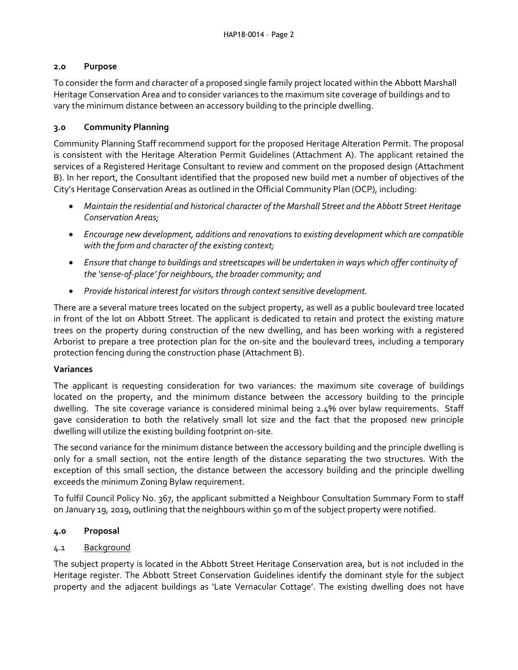### **2.0 Purpose**

To consider the form and character of a proposed single family project located within the Abbott Marshall Heritage Conservation Area and to consider variances to the maximum site coverage of buildings and to vary the minimum distance between an accessory building to the principle dwelling.

### **3.0 Community Planning**

Community Planning Staff recommend support for the proposed Heritage Alteration Permit. The proposal is consistent with the Heritage Alteration Permit Guidelines (Attachment A). The applicant retained the services of a Registered Heritage Consultant to review and comment on the proposed design (Attachment B). In her report, the Consultant identified that the proposed new build met a number of objectives of the City's Heritage Conservation Areas as outlined in the Official Community Plan (OCP), including:

- *Maintain the residential and historical character of the Marshall Street and the Abbott Street Heritage Conservation Areas;*
- *Encourage new development, additions and renovations to existing development which are compatible with the form and character of the existing context;*
- *Ensure that change to buildings and streetscapes will be undertaken in ways which offer continuity of the 'sense-of-place' for neighbours, the broader community; and*
- *Provide historical interest for visitors through context sensitive development.*

There are a several mature trees located on the subject property, as well as a public boulevard tree located in front of the lot on Abbott Street. The applicant is dedicated to retain and protect the existing mature trees on the property during construction of the new dwelling, and has been working with a registered Arborist to prepare a tree protection plan for the on-site and the boulevard trees, including a temporary protection fencing during the construction phase (Attachment B).

## **Variances**

The applicant is requesting consideration for two variances: the maximum site coverage of buildings located on the property, and the minimum distance between the accessory building to the principle dwelling. The site coverage variance is considered minimal being 2.4% over bylaw requirements. Staff gave consideration to both the relatively small lot size and the fact that the proposed new principle dwelling will utilize the existing building footprint on-site.

The second variance for the minimum distance between the accessory building and the principle dwelling is only for a small section, not the entire length of the distance separating the two structures. With the exception of this small section, the distance between the accessory building and the principle dwelling exceeds the minimum Zoning Bylaw requirement.

To fulfil Council Policy No. 367, the applicant submitted a Neighbour Consultation Summary Form to staff on January 19, 2019, outlining that the neighbours within 50 m of the subject property were notified.

## **4.0 Proposal**

## 4.1 Background

The subject property is located in the Abbott Street Heritage Conservation area, but is not included in the Heritage register. The Abbott Street Conservation Guidelines identify the dominant style for the subject property and the adjacent buildings as 'Late Vernacular Cottage'. The existing dwelling does not have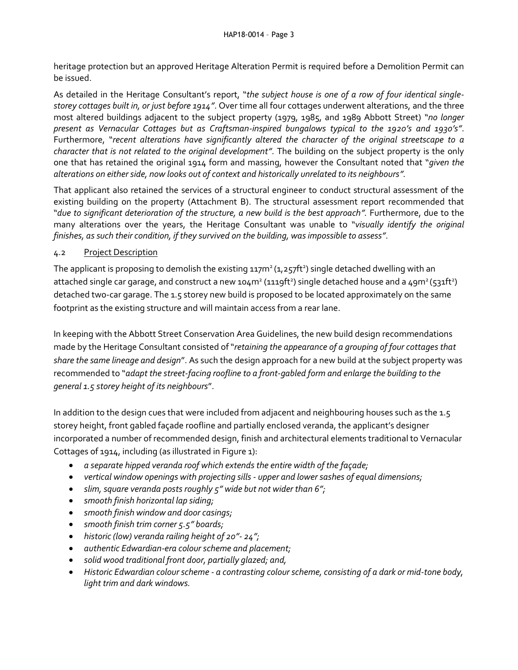heritage protection but an approved Heritage Alteration Permit is required before a Demolition Permit can be issued.

As detailed in the Heritage Consultant's report, "*the subject house is one of a row of four identical singlestorey cottages built in, or just before 1914"*. Over time all four cottages underwent alterations, and the three most altered buildings adjacent to the subject property (1979, 1985, and 1989 Abbott Street) "*no longer present as Vernacular Cottages but as Craftsman-inspired bungalows typical to the 1920's and 1930's"*. Furthermore, "*recent alterations have significantly altered the character of the original streetscape to a character that is not related to the original development"*. The building on the subject property is the only one that has retained the original 1914 form and massing, however the Consultant noted that "*given the alterations on either side, now looks out of context and historically unrelated to its neighbours".*

That applicant also retained the services of a structural engineer to conduct structural assessment of the existing building on the property (Attachment B). The structural assessment report recommended that "*due to significant deterioration of the structure, a new build is the best approach".* Furthermore, due to the many alterations over the years, the Heritage Consultant was unable to "*visually identify the original finishes, as such their condition, if they survived on the building, was impossible to assess"*.

## 4.2 Project Description

The applicant is proposing to demolish the existing  $117m^2(1,257ft^2)$  single detached dwelling with an attached single car garage, and construct a new 104m<sup>2</sup> (1119ft<sup>2</sup>) single detached house and a 49m<sup>2</sup> (531ft<sup>2</sup>) detached two-car garage. The 1.5 storey new build is proposed to be located approximately on the same footprint as the existing structure and will maintain access from a rear lane.

In keeping with the Abbott Street Conservation Area Guidelines, the new build design recommendations made by the Heritage Consultant consisted of "*retaining the appearance of a grouping of four cottages that share the same lineage and design*". As such the design approach for a new build at the subject property was recommended to "*adapt the street-facing roofline to a front-gabled form and enlarge the building to the general 1.5 storey height of its neighbours*".

In addition to the design cues that were included from adjacent and neighbouring houses such as the 1.5 storey height, front gabled façade roofline and partially enclosed veranda, the applicant's designer incorporated a number of recommended design, finish and architectural elements traditional to Vernacular Cottages of 1914, including (as illustrated in Figure 1):

- *a separate hipped veranda roof which extends the entire width of the façade;*
- *vertical window openings with projecting sills - upper and lower sashes of equal dimensions;*
- *slim, square veranda posts roughly 5" wide but not wider than 6";*
- *smooth finish horizontal lap siding;*
- *smooth finish window and door casings;*
- *smooth finish trim corner 5.5" boards;*
- *historic (low) veranda railing height of 20"- 24";*
- *authentic Edwardian-era colour scheme and placement;*
- *solid wood traditional front door, partially glazed; and,*
- *Historic Edwardian colour scheme - a contrasting colour scheme, consisting of a dark or mid-tone body, light trim and dark windows.*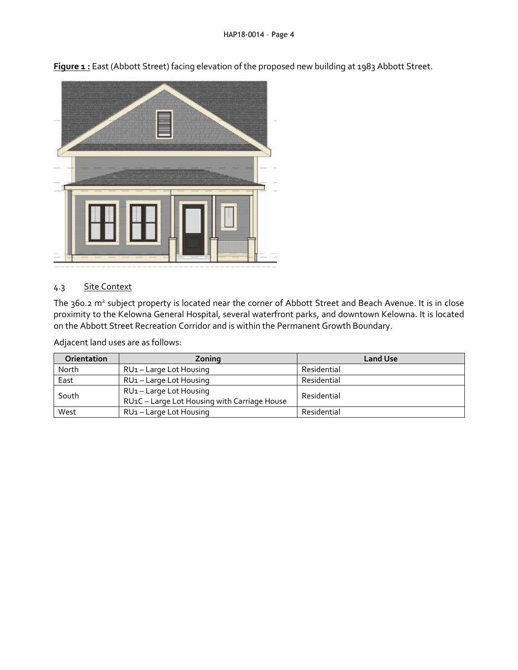

**Figure 1 :** East (Abbott Street) facing elevation of the proposed new building at 1983 Abbott Street.

#### 4.3 Site Context

The 360.2 m<sup>2</sup> subject property is located near the corner of Abbott Street and Beach Avenue. It is in close proximity to the Kelowna General Hospital, several waterfront parks, and downtown Kelowna. It is located on the Abbott Street Recreation Corridor and is within the Permanent Growth Boundary.

Adjacent land uses are as follows:

| <b>Orientation</b> | Zoning                                                                | <b>Land Use</b> |
|--------------------|-----------------------------------------------------------------------|-----------------|
| North              | RU1 - Large Lot Housing                                               | Residential     |
| East               | RU <sub>1</sub> – Large Lot Housing                                   | Residential     |
| South              | RU1-Large Lot Housing<br>RU1C - Large Lot Housing with Carriage House | Residential     |
| West               | RU <sub>1</sub> – Large Lot Housing                                   | Residential     |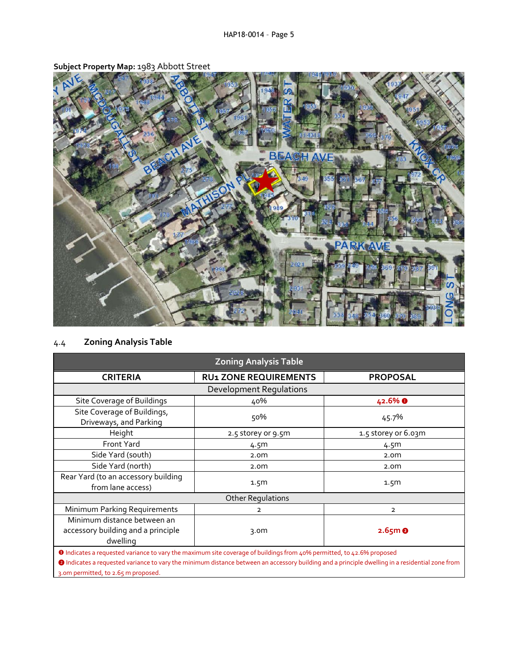

**Subject Property Map:** 1983 Abbott Street

# 4.4 **Zoning Analysis Table**

| <b>Zoning Analysis Table</b>                                                                                                 |                              |                      |  |  |
|------------------------------------------------------------------------------------------------------------------------------|------------------------------|----------------------|--|--|
| <b>CRITERIA</b>                                                                                                              | <b>RU1 ZONE REQUIREMENTS</b> | <b>PROPOSAL</b>      |  |  |
| <b>Development Requlations</b>                                                                                               |                              |                      |  |  |
| Site Coverage of Buildings                                                                                                   | 40%                          | 42.6% <b>O</b>       |  |  |
| Site Coverage of Buildings,<br>Driveways, and Parking                                                                        | 50%                          | 45.7%                |  |  |
| Height                                                                                                                       | 2.5 storey or 9.5m           | 1.5 storey or 6.03m  |  |  |
| <b>Front Yard</b>                                                                                                            | 4.5m                         | 4.5m                 |  |  |
| Side Yard (south)                                                                                                            | 2.0 <sub>m</sub>             | 2.0 <sub>m</sub>     |  |  |
| Side Yard (north)                                                                                                            | 2.0 <sub>m</sub>             | 2.0 <sub>m</sub>     |  |  |
| Rear Yard (to an accessory building<br>from lane access)                                                                     | 1.5 <sub>m</sub>             | 1.5 <sub>m</sub>     |  |  |
| <b>Other Regulations</b>                                                                                                     |                              |                      |  |  |
| Minimum Parking Requirements                                                                                                 | 2                            | $\overline{2}$       |  |  |
| Minimum distance between an<br>accessory building and a principle<br>dwelling                                                | 3.0 <sub>m</sub>             | $2.65m$ <sup>O</sup> |  |  |
| <b>O</b> Indicates a requested variance to vary the maximum site coverage of buildings from 40% permitted, to 42.6% proposed |                              |                      |  |  |

❷ Indicates a requested variance to vary the minimum distance between an accessory building and a principle dwelling in a residential zone from 3.0m permitted, to 2.65 m proposed.